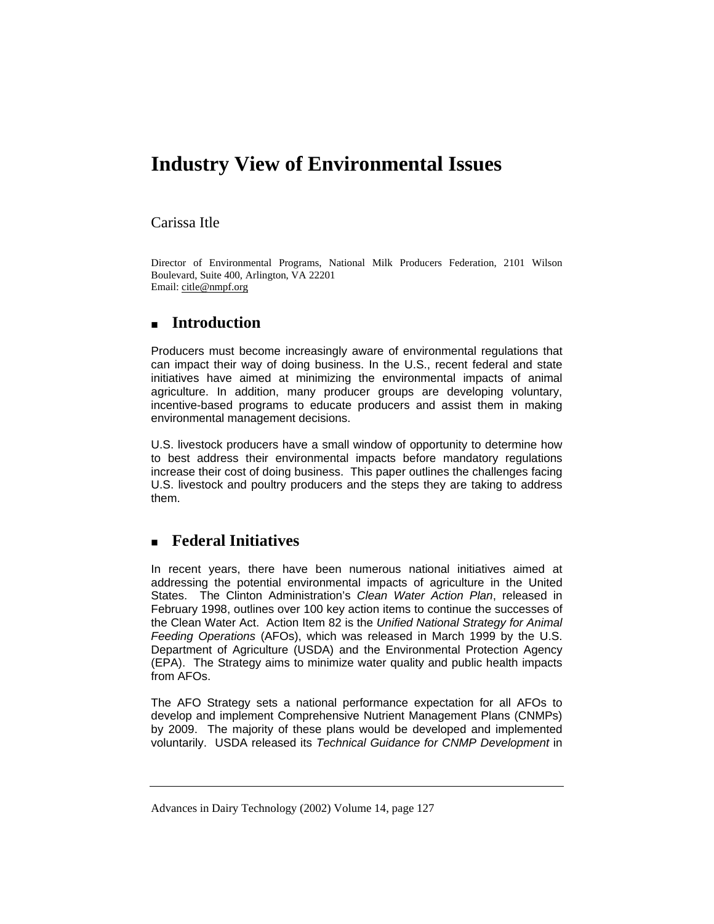# **Industry View of Environmental Issues**

#### Carissa Itle

Director of Environmental Programs, National Milk Producers Federation, 2101 Wilson Boulevard, Suite 400, Arlington, VA 22201 Email: citle@nmpf.org

## **Introduction**

Producers must become increasingly aware of environmental regulations that can impact their way of doing business. In the U.S., recent federal and state initiatives have aimed at minimizing the environmental impacts of animal agriculture. In addition, many producer groups are developing voluntary, incentive-based programs to educate producers and assist them in making environmental management decisions.

U.S. livestock producers have a small window of opportunity to determine how to best address their environmental impacts before mandatory regulations increase their cost of doing business. This paper outlines the challenges facing U.S. livestock and poultry producers and the steps they are taking to address them.

## **Federal Initiatives**

In recent years, there have been numerous national initiatives aimed at addressing the potential environmental impacts of agriculture in the United States. The Clinton Administration's *Clean Water Action Plan*, released in February 1998, outlines over 100 key action items to continue the successes of the Clean Water Act. Action Item 82 is the *Unified National Strategy for Animal Feeding Operations* (AFOs), which was released in March 1999 by the U.S. Department of Agriculture (USDA) and the Environmental Protection Agency (EPA). The Strategy aims to minimize water quality and public health impacts from AFOs.

The AFO Strategy sets a national performance expectation for all AFOs to develop and implement Comprehensive Nutrient Management Plans (CNMPs) by 2009. The majority of these plans would be developed and implemented voluntarily. USDA released its *Technical Guidance for CNMP Development* in

Advances in Dairy Technology (2002) Volume 14, page 127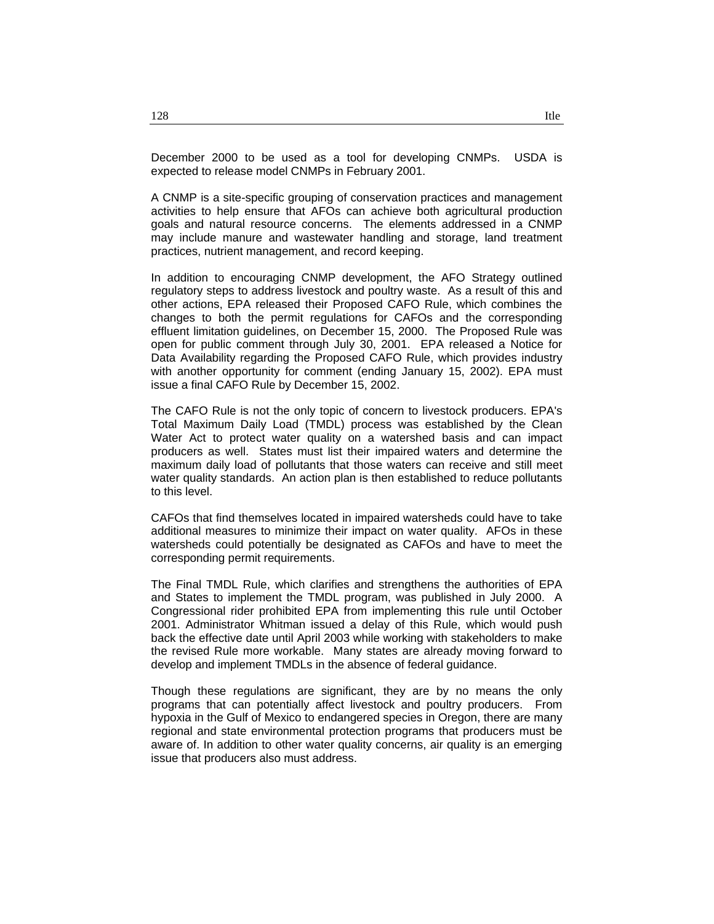December 2000 to be used as a tool for developing CNMPs. USDA is expected to release model CNMPs in February 2001.

A CNMP is a site-specific grouping of conservation practices and management activities to help ensure that AFOs can achieve both agricultural production goals and natural resource concerns. The elements addressed in a CNMP may include manure and wastewater handling and storage, land treatment practices, nutrient management, and record keeping.

In addition to encouraging CNMP development, the AFO Strategy outlined regulatory steps to address livestock and poultry waste. As a result of this and other actions, EPA released their Proposed CAFO Rule, which combines the changes to both the permit regulations for CAFOs and the corresponding effluent limitation guidelines, on December 15, 2000. The Proposed Rule was open for public comment through July 30, 2001. EPA released a Notice for Data Availability regarding the Proposed CAFO Rule, which provides industry with another opportunity for comment (ending January 15, 2002). EPA must issue a final CAFO Rule by December 15, 2002.

The CAFO Rule is not the only topic of concern to livestock producers. EPA's Total Maximum Daily Load (TMDL) process was established by the Clean Water Act to protect water quality on a watershed basis and can impact producers as well. States must list their impaired waters and determine the maximum daily load of pollutants that those waters can receive and still meet water quality standards. An action plan is then established to reduce pollutants to this level.

CAFOs that find themselves located in impaired watersheds could have to take additional measures to minimize their impact on water quality. AFOs in these watersheds could potentially be designated as CAFOs and have to meet the corresponding permit requirements.

The Final TMDL Rule, which clarifies and strengthens the authorities of EPA and States to implement the TMDL program, was published in July 2000. A Congressional rider prohibited EPA from implementing this rule until October 2001. Administrator Whitman issued a delay of this Rule, which would push back the effective date until April 2003 while working with stakeholders to make the revised Rule more workable. Many states are already moving forward to develop and implement TMDLs in the absence of federal guidance.

Though these regulations are significant, they are by no means the only programs that can potentially affect livestock and poultry producers. From hypoxia in the Gulf of Mexico to endangered species in Oregon, there are many regional and state environmental protection programs that producers must be aware of. In addition to other water quality concerns, air quality is an emerging issue that producers also must address.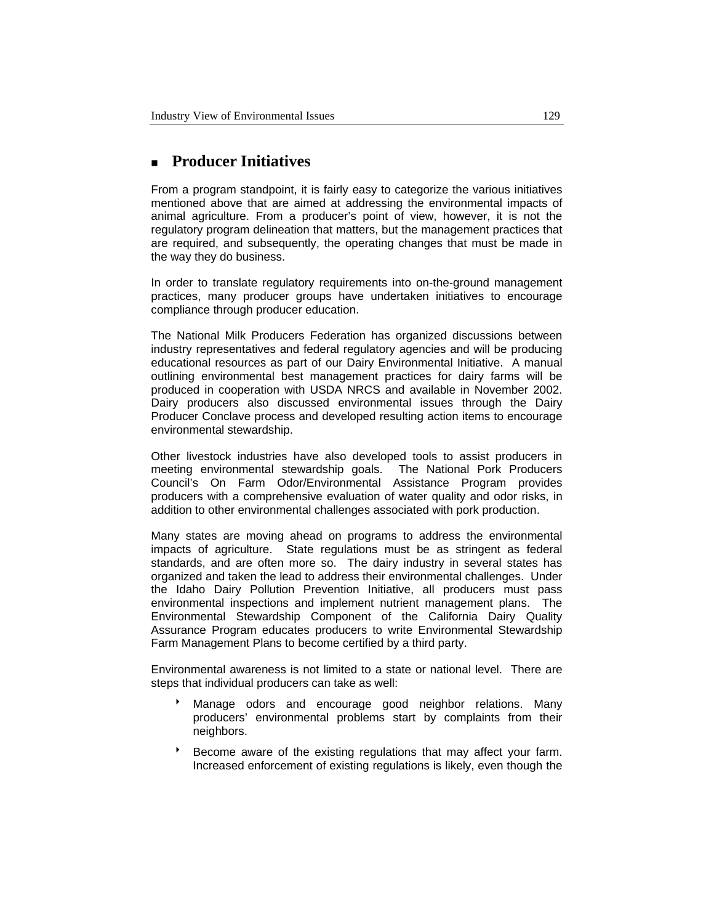## **Producer Initiatives**

From a program standpoint, it is fairly easy to categorize the various initiatives mentioned above that are aimed at addressing the environmental impacts of animal agriculture. From a producer's point of view, however, it is not the regulatory program delineation that matters, but the management practices that are required, and subsequently, the operating changes that must be made in the way they do business.

In order to translate regulatory requirements into on-the-ground management practices, many producer groups have undertaken initiatives to encourage compliance through producer education.

The National Milk Producers Federation has organized discussions between industry representatives and federal regulatory agencies and will be producing educational resources as part of our Dairy Environmental Initiative. A manual outlining environmental best management practices for dairy farms will be produced in cooperation with USDA NRCS and available in November 2002. Dairy producers also discussed environmental issues through the Dairy Producer Conclave process and developed resulting action items to encourage environmental stewardship.

Other livestock industries have also developed tools to assist producers in meeting environmental stewardship goals. The National Pork Producers Council's On Farm Odor/Environmental Assistance Program provides producers with a comprehensive evaluation of water quality and odor risks, in addition to other environmental challenges associated with pork production.

Many states are moving ahead on programs to address the environmental impacts of agriculture. State regulations must be as stringent as federal standards, and are often more so. The dairy industry in several states has organized and taken the lead to address their environmental challenges. Under the Idaho Dairy Pollution Prevention Initiative, all producers must pass environmental inspections and implement nutrient management plans. The Environmental Stewardship Component of the California Dairy Quality Assurance Program educates producers to write Environmental Stewardship Farm Management Plans to become certified by a third party.

Environmental awareness is not limited to a state or national level. There are steps that individual producers can take as well:

- Manage odors and encourage good neighbor relations. Many producers' environmental problems start by complaints from their neighbors.
- Become aware of the existing regulations that may affect your farm. Increased enforcement of existing regulations is likely, even though the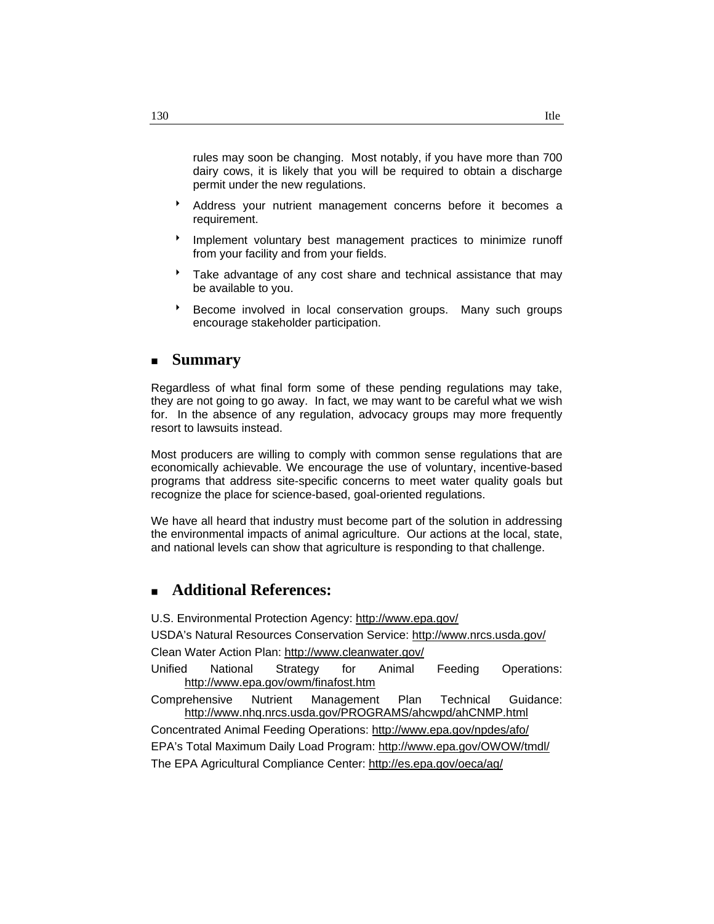rules may soon be changing. Most notably, if you have more than 700 dairy cows, it is likely that you will be required to obtain a discharge permit under the new regulations.

- \* Address your nutrient management concerns before it becomes a requirement.
- 8 Implement voluntary best management practices to minimize runoff from your facility and from your fields.
- Take advantage of any cost share and technical assistance that may be available to you.
- Become involved in local conservation groups. Many such groups encourage stakeholder participation.

### **Summary**

Regardless of what final form some of these pending regulations may take, they are not going to go away. In fact, we may want to be careful what we wish for. In the absence of any regulation, advocacy groups may more frequently resort to lawsuits instead.

Most producers are willing to comply with common sense regulations that are economically achievable. We encourage the use of voluntary, incentive-based programs that address site-specific concerns to meet water quality goals but recognize the place for science-based, goal-oriented regulations.

We have all heard that industry must become part of the solution in addressing the environmental impacts of animal agriculture. Our actions at the local, state, and national levels can show that agriculture is responding to that challenge.

### **Additional References:**

U.S. Environmental Protection Agency: http://www.epa.gov/

USDA's Natural Resources Conservation Service: http://www.nrcs.usda.gov/ Clean Water Action Plan: http://www.cleanwater.gov/

Unified National Strategy for Animal Feeding Operations: http://www.epa.gov/owm/finafost.htm

Comprehensive Nutrient Management Plan Technical Guidance: http://www.nhq.nrcs.usda.gov/PROGRAMS/ahcwpd/ahCNMP.html

Concentrated Animal Feeding Operations: http://www.epa.gov/npdes/afo/ EPA's Total Maximum Daily Load Program: http://www.epa.gov/OWOW/tmdl/ The EPA Agricultural Compliance Center: http://es.epa.gov/oeca/ag/